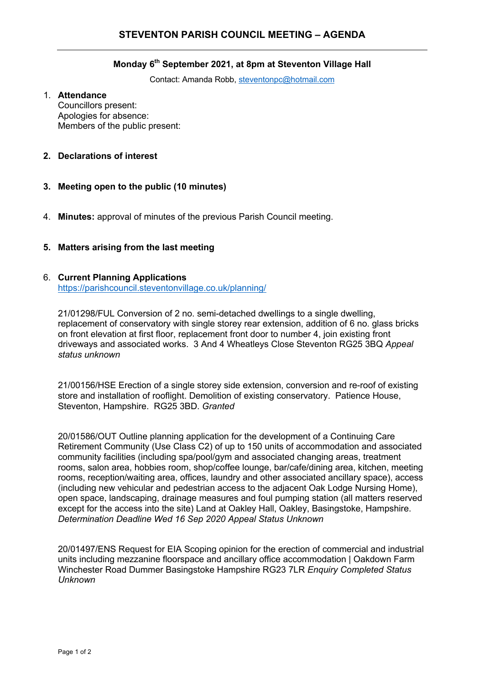#### **Monday 6th September 2021, at 8pm at Steventon Village Hall**

Contact: Amanda Robb, steventonpc@hotmail.com

#### 1. **Attendance**

Councillors present: Apologies for absence: Members of the public present:

# **2. Declarations of interest**

- **3. Meeting open to the public (10 minutes)**
- 4. **Minutes:** approval of minutes of the previous Parish Council meeting.

### **5. Matters arising from the last meeting**

### 6. **Current Planning Applications**

https://parishcouncil.steventonvillage.co.uk/planning/

21/01298/FUL Conversion of 2 no. semi-detached dwellings to a single dwelling, replacement of conservatory with single storey rear extension, addition of 6 no. glass bricks on front elevation at first floor, replacement front door to number 4, join existing front driveways and associated works. 3 And 4 Wheatleys Close Steventon RG25 3BQ *Appeal status unknown*

21/00156/HSE Erection of a single storey side extension, conversion and re-roof of existing store and installation of rooflight. Demolition of existing conservatory. Patience House, Steventon, Hampshire. RG25 3BD. *Granted*

20/01586/OUT Outline planning application for the development of a Continuing Care Retirement Community (Use Class C2) of up to 150 units of accommodation and associated community facilities (including spa/pool/gym and associated changing areas, treatment rooms, salon area, hobbies room, shop/coffee lounge, bar/cafe/dining area, kitchen, meeting rooms, reception/waiting area, offices, laundry and other associated ancillary space), access (including new vehicular and pedestrian access to the adjacent Oak Lodge Nursing Home), open space, landscaping, drainage measures and foul pumping station (all matters reserved except for the access into the site) Land at Oakley Hall, Oakley, Basingstoke, Hampshire. *Determination Deadline Wed 16 Sep 2020 Appeal Status Unknown*

20/01497/ENS Request for EIA Scoping opinion for the erection of commercial and industrial units including mezzanine floorspace and ancillary office accommodation | Oakdown Farm Winchester Road Dummer Basingstoke Hampshire RG23 7LR *Enquiry Completed Status Unknown*